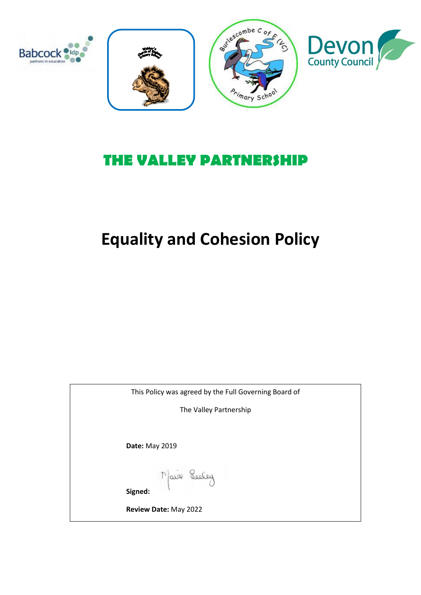





# **THE VALLEY PARTNERSHIP**

# **Equality and Cohesion Policy**

| This Policy was agreed by the Full Governing Board of |  |
|-------------------------------------------------------|--|
| The Valley Partnership                                |  |
|                                                       |  |
| <b>Date: May 2019</b>                                 |  |
| Maix Seeley<br>Signed:                                |  |
| Review Date: May 2022                                 |  |
|                                                       |  |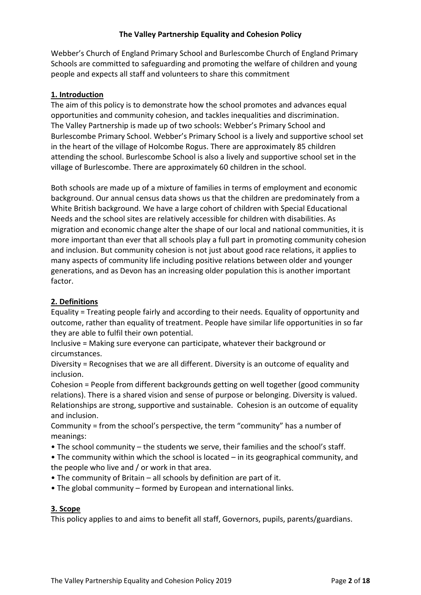# **The Valley Partnership Equality and Cohesion Policy**

Webber's Church of England Primary School and Burlescombe Church of England Primary Schools are committed to safeguarding and promoting the welfare of children and young people and expects all staff and volunteers to share this commitment

# **1. Introduction**

The aim of this policy is to demonstrate how the school promotes and advances equal opportunities and community cohesion, and tackles inequalities and discrimination. The Valley Partnership is made up of two schools: Webber's Primary School and Burlescombe Primary School. Webber's Primary School is a lively and supportive school set in the heart of the village of Holcombe Rogus. There are approximately 85 children attending the school. Burlescombe School is also a lively and supportive school set in the village of Burlescombe. There are approximately 60 children in the school.

Both schools are made up of a mixture of families in terms of employment and economic background. Our annual census data shows us that the children are predominately from a White British background. We have a large cohort of children with Special Educational Needs and the school sites are relatively accessible for children with disabilities. As migration and economic change alter the shape of our local and national communities, it is more important than ever that all schools play a full part in promoting community cohesion and inclusion. But community cohesion is not just about good race relations, it applies to many aspects of community life including positive relations between older and younger generations, and as Devon has an increasing older population this is another important factor.

# **2. Definitions**

Equality = Treating people fairly and according to their needs. Equality of opportunity and outcome, rather than equality of treatment. People have similar life opportunities in so far they are able to fulfil their own potential.

Inclusive = Making sure everyone can participate, whatever their background or circumstances.

Diversity = Recognises that we are all different. Diversity is an outcome of equality and inclusion.

Cohesion = People from different backgrounds getting on well together (good community relations). There is a shared vision and sense of purpose or belonging. Diversity is valued. Relationships are strong, supportive and sustainable. Cohesion is an outcome of equality and inclusion.

Community = from the school's perspective, the term "community" has a number of meanings:

- The school community the students we serve, their families and the school's staff.
- The community within which the school is located in its geographical community, and the people who live and / or work in that area.
- The community of Britain all schools by definition are part of it.
- The global community formed by European and international links.

## **3. Scope**

This policy applies to and aims to benefit all staff, Governors, pupils, parents/guardians.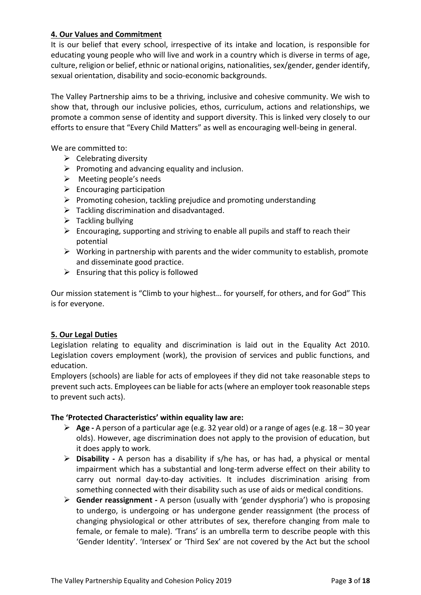# **4. Our Values and Commitment**

It is our belief that every school, irrespective of its intake and location, is responsible for educating young people who will live and work in a country which is diverse in terms of age, culture, religion or belief, ethnic or national origins, nationalities, sex/gender, gender identify, sexual orientation, disability and socio-economic backgrounds.

The Valley Partnership aims to be a thriving, inclusive and cohesive community. We wish to show that, through our inclusive policies, ethos, curriculum, actions and relationships, we promote a common sense of identity and support diversity. This is linked very closely to our efforts to ensure that "Every Child Matters" as well as encouraging well-being in general.

We are committed to:

- $\triangleright$  Celebrating diversity
- $\triangleright$  Promoting and advancing equality and inclusion.
- $\triangleright$  Meeting people's needs
- $\triangleright$  Encouraging participation
- $\triangleright$  Promoting cohesion, tackling prejudice and promoting understanding
- $\triangleright$  Tackling discrimination and disadvantaged.
- $\triangleright$  Tackling bullying
- $\triangleright$  Encouraging, supporting and striving to enable all pupils and staff to reach their potential
- $\triangleright$  Working in partnership with parents and the wider community to establish, promote and disseminate good practice.
- $\triangleright$  Ensuring that this policy is followed

Our mission statement is "Climb to your highest… for yourself, for others, and for God" This is for everyone.

## **5. Our Legal Duties**

Legislation relating to equality and discrimination is laid out in the Equality Act 2010. Legislation covers employment (work), the provision of services and public functions, and education.

Employers (schools) are liable for acts of employees if they did not take reasonable steps to prevent such acts. Employees can be liable for acts (where an employer took reasonable steps to prevent such acts).

## **The 'Protected Characteristics' within equality law are:**

- **Age -** A person of a particular age (e.g. 32 year old) or a range of ages (e.g. 18 30 year olds). However, age discrimination does not apply to the provision of education, but it does apply to work.
- **Disability -** A person has a disability if s/he has, or has had, a physical or mental impairment which has a substantial and long-term adverse effect on their ability to carry out normal day-to-day activities. It includes discrimination arising from something connected with their disability such as use of aids or medical conditions.
- **Gender reassignment -** A person (usually with 'gender dysphoria') who is proposing to undergo, is undergoing or has undergone gender reassignment (the process of changing physiological or other attributes of sex, therefore changing from male to female, or female to male). 'Trans' is an umbrella term to describe people with this 'Gender Identity'. 'Intersex' or 'Third Sex' are not covered by the Act but the school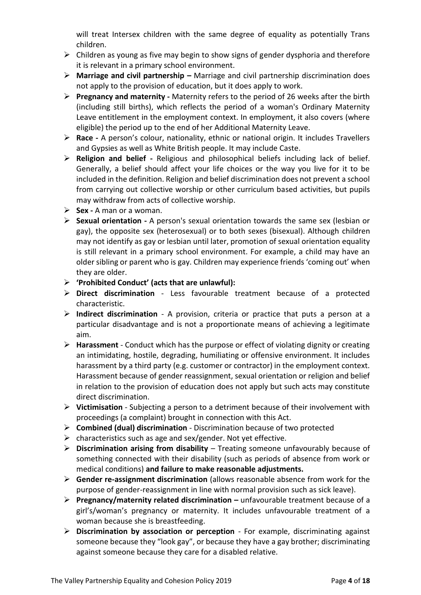will treat Intersex children with the same degree of equality as potentially Trans children.

- $\triangleright$  Children as young as five may begin to show signs of gender dysphoria and therefore it is relevant in a primary school environment.
- **Marriage and civil partnership –** Marriage and civil partnership discrimination does not apply to the provision of education, but it does apply to work.
- **Pregnancy and maternity -** Maternity refers to the period of 26 weeks after the birth (including still births), which reflects the period of a woman's Ordinary Maternity Leave entitlement in the employment context. In employment, it also covers (where eligible) the period up to the end of her Additional Maternity Leave.
- **Race -** A person's colour, nationality, ethnic or national origin. It includes Travellers and Gypsies as well as White British people. It may include Caste.
- **Religion and belief -** Religious and philosophical beliefs including lack of belief. Generally, a belief should affect your life choices or the way you live for it to be included in the definition. Religion and belief discrimination does not prevent a school from carrying out collective worship or other curriculum based activities, but pupils may withdraw from acts of collective worship.
- **Sex -** A man or a woman.
- **Sexual orientation -** A person's sexual orientation towards the same sex (lesbian or gay), the opposite sex (heterosexual) or to both sexes (bisexual). Although children may not identify as gay or lesbian until later, promotion of sexual orientation equality is still relevant in a primary school environment. For example, a child may have an older sibling or parent who is gay. Children may experience friends 'coming out' when they are older.
- **'Prohibited Conduct' (acts that are unlawful):**
- **Direct discrimination**  Less favourable treatment because of a protected characteristic.
- **Indirect discrimination**  A provision, criteria or practice that puts a person at a particular disadvantage and is not a proportionate means of achieving a legitimate aim.
- **Harassment**  Conduct which has the purpose or effect of violating dignity or creating an intimidating, hostile, degrading, humiliating or offensive environment. It includes harassment by a third party (e.g. customer or contractor) in the employment context. Harassment because of gender reassignment, sexual orientation or religion and belief in relation to the provision of education does not apply but such acts may constitute direct discrimination.
- **Victimisation**  Subjecting a person to a detriment because of their involvement with proceedings (a complaint) brought in connection with this Act.
- **Combined (dual) discrimination**  Discrimination because of two protected
- $\triangleright$  characteristics such as age and sex/gender. Not yet effective.
- **Discrimination arising from disability**  Treating someone unfavourably because of something connected with their disability (such as periods of absence from work or medical conditions) **and failure to make reasonable adjustments.**
- **Gender re-assignment discrimination** (allows reasonable absence from work for the purpose of gender-reassignment in line with normal provision such as sick leave).
- **Pregnancy/maternity related discrimination –** unfavourable treatment because of a girl's/woman's pregnancy or maternity. It includes unfavourable treatment of a woman because she is breastfeeding.
- **Discrimination by association or perception**  For example, discriminating against someone because they "look gay", or because they have a gay brother; discriminating against someone because they care for a disabled relative.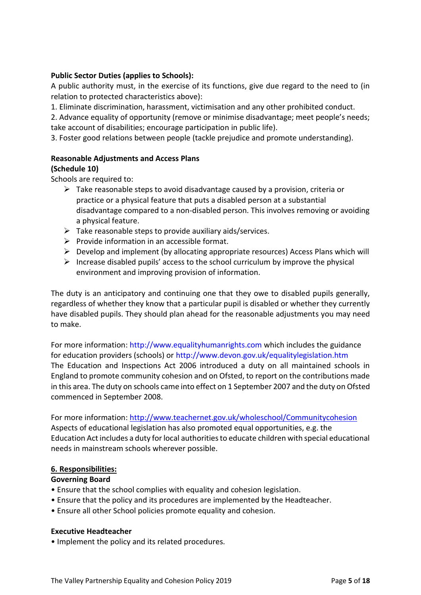# **Public Sector Duties (applies to Schools):**

A public authority must, in the exercise of its functions, give due regard to the need to (in relation to protected characteristics above):

1. Eliminate discrimination, harassment, victimisation and any other prohibited conduct.

2. Advance equality of opportunity (remove or minimise disadvantage; meet people's needs; take account of disabilities; encourage participation in public life).

3. Foster good relations between people (tackle prejudice and promote understanding).

# **Reasonable Adjustments and Access Plans (Schedule 10)**

Schools are required to:

- $\triangleright$  Take reasonable steps to avoid disadvantage caused by a provision, criteria or practice or a physical feature that puts a disabled person at a substantial disadvantage compared to a non-disabled person. This involves removing or avoiding a physical feature.
- $\triangleright$  Take reasonable steps to provide auxiliary aids/services.
- $\triangleright$  Provide information in an accessible format.
- $\triangleright$  Develop and implement (by allocating appropriate resources) Access Plans which will
- $\triangleright$  Increase disabled pupils' access to the school curriculum by improve the physical environment and improving provision of information.

The duty is an anticipatory and continuing one that they owe to disabled pupils generally, regardless of whether they know that a particular pupil is disabled or whether they currently have disabled pupils. They should plan ahead for the reasonable adjustments you may need to make.

For more information: http://www.equalityhumanrights.com which includes the guidance for education providers (schools) or http://www.devon.gov.uk/equalitylegislation.htm The Education and Inspections Act 2006 introduced a duty on all maintained schools in England to promote community cohesion and on Ofsted, to report on the contributions made in this area. The duty on schools came into effect on 1 September 2007 and the duty on Ofsted commenced in September 2008.

For more information:<http://www.teachernet.gov.uk/wholeschool/Communitycohesion> Aspects of educational legislation has also promoted equal opportunities, e.g. the Education Act includes a duty for local authorities to educate children with special educational needs in mainstream schools wherever possible.

## **6. Responsibilities:**

## **Governing Board**

- Ensure that the school complies with equality and cohesion legislation.
- Ensure that the policy and its procedures are implemented by the Headteacher.
- Ensure all other School policies promote equality and cohesion.

## **Executive Headteacher**

• Implement the policy and its related procedures.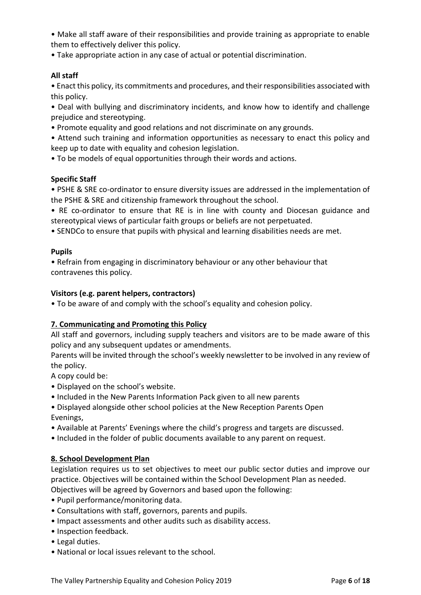• Make all staff aware of their responsibilities and provide training as appropriate to enable them to effectively deliver this policy.

• Take appropriate action in any case of actual or potential discrimination.

# **All staff**

• Enact this policy, its commitments and procedures, and their responsibilities associated with this policy.

• Deal with bullying and discriminatory incidents, and know how to identify and challenge prejudice and stereotyping.

- Promote equality and good relations and not discriminate on any grounds.
- Attend such training and information opportunities as necessary to enact this policy and keep up to date with equality and cohesion legislation.
- To be models of equal opportunities through their words and actions.

# **Specific Staff**

• PSHE & SRE co-ordinator to ensure diversity issues are addressed in the implementation of the PSHE & SRE and citizenship framework throughout the school.

• RE co-ordinator to ensure that RE is in line with county and Diocesan guidance and stereotypical views of particular faith groups or beliefs are not perpetuated.

• SENDCo to ensure that pupils with physical and learning disabilities needs are met.

## **Pupils**

• Refrain from engaging in discriminatory behaviour or any other behaviour that contravenes this policy.

# **Visitors (e.g. parent helpers, contractors)**

• To be aware of and comply with the school's equality and cohesion policy.

# **7. Communicating and Promoting this Policy**

All staff and governors, including supply teachers and visitors are to be made aware of this policy and any subsequent updates or amendments.

Parents will be invited through the school's weekly newsletter to be involved in any review of the policy.

A copy could be:

- Displayed on the school's website.
- Included in the New Parents Information Pack given to all new parents
- Displayed alongside other school policies at the New Reception Parents Open Evenings,
- Available at Parents' Evenings where the child's progress and targets are discussed.
- Included in the folder of public documents available to any parent on request.

# **8. School Development Plan**

Legislation requires us to set objectives to meet our public sector duties and improve our practice. Objectives will be contained within the School Development Plan as needed. Objectives will be agreed by Governors and based upon the following:

- Pupil performance/monitoring data.
- Consultations with staff, governors, parents and pupils.
- Impact assessments and other audits such as disability access.
- Inspection feedback.
- Legal duties.
- National or local issues relevant to the school.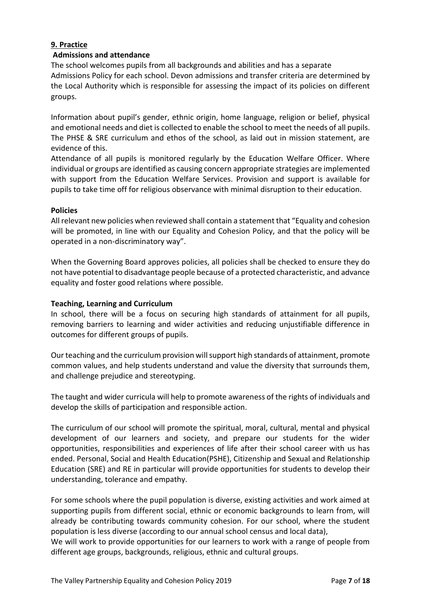# **9. Practice**

# **Admissions and attendance**

The school welcomes pupils from all backgrounds and abilities and has a separate Admissions Policy for each school. Devon admissions and transfer criteria are determined by the Local Authority which is responsible for assessing the impact of its policies on different groups.

Information about pupil's gender, ethnic origin, home language, religion or belief, physical and emotional needs and diet is collected to enable the school to meet the needs of all pupils. The PHSE & SRE curriculum and ethos of the school, as laid out in mission statement, are evidence of this.

Attendance of all pupils is monitored regularly by the Education Welfare Officer. Where individual or groups are identified as causing concern appropriate strategies are implemented with support from the Education Welfare Services. Provision and support is available for pupils to take time off for religious observance with minimal disruption to their education.

# **Policies**

All relevant new policies when reviewed shall contain a statement that "Equality and cohesion will be promoted, in line with our Equality and Cohesion Policy, and that the policy will be operated in a non-discriminatory way".

When the Governing Board approves policies, all policies shall be checked to ensure they do not have potential to disadvantage people because of a protected characteristic, and advance equality and foster good relations where possible.

## **Teaching, Learning and Curriculum**

In school, there will be a focus on securing high standards of attainment for all pupils, removing barriers to learning and wider activities and reducing unjustifiable difference in outcomes for different groups of pupils.

Our teaching and the curriculum provision will support high standards of attainment, promote common values, and help students understand and value the diversity that surrounds them, and challenge prejudice and stereotyping.

The taught and wider curricula will help to promote awareness of the rights of individuals and develop the skills of participation and responsible action.

The curriculum of our school will promote the spiritual, moral, cultural, mental and physical development of our learners and society, and prepare our students for the wider opportunities, responsibilities and experiences of life after their school career with us has ended. Personal, Social and Health Education(PSHE), Citizenship and Sexual and Relationship Education (SRE) and RE in particular will provide opportunities for students to develop their understanding, tolerance and empathy.

For some schools where the pupil population is diverse, existing activities and work aimed at supporting pupils from different social, ethnic or economic backgrounds to learn from, will already be contributing towards community cohesion. For our school, where the student population is less diverse (according to our annual school census and local data),

We will work to provide opportunities for our learners to work with a range of people from different age groups, backgrounds, religious, ethnic and cultural groups.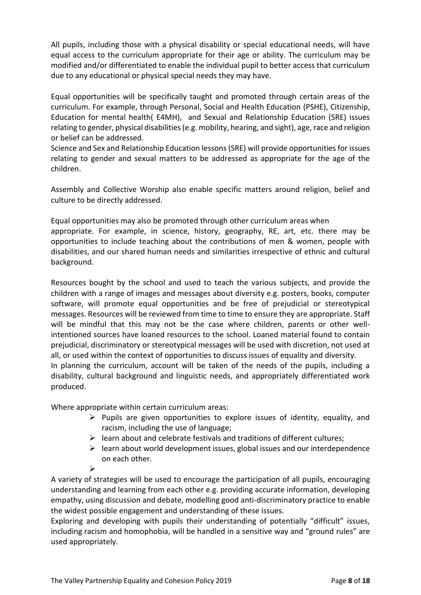All pupils, including those with a physical disability or special educational needs, will have equal access to the curriculum appropriate for their age or ability. The curriculum may be modified and/or differentiated to enable the individual pupil to better access that curriculum due to any educational or physical special needs they may have.

Equal opportunities will be specifically taught and promoted through certain areas of the curriculum. For example, through Personal, Social and Health Education (PSHE), Citizenship, Education for mental health( E4MH), and Sexual and Relationship Education (SRE) issues relating to gender, physical disabilities (e.g. mobility, hearing, and sight), age, race and religion or belief can be addressed.

Science and Sex and Relationship Education lessons (SRE) will provide opportunities for issues relating to gender and sexual matters to be addressed as appropriate for the age of the children.

Assembly and Collective Worship also enable specific matters around religion, belief and culture to be directly addressed.

Equal opportunities may also be promoted through other curriculum areas when appropriate. For example, in science, history, geography, RE, art, etc. there may be opportunities to include teaching about the contributions of men & women, people with disabilities, and our shared human needs and similarities irrespective of ethnic and cultural background.

Resources bought by the school and used to teach the various subjects, and provide the children with a range of images and messages about diversity e.g. posters, books, computer software, will promote equal opportunities and be free of prejudicial or stereotypical messages. Resources will be reviewed from time to time to ensure they are appropriate. Staff will be mindful that this may not be the case where children, parents or other wellintentioned sources have loaned resources to the school. Loaned material found to contain prejudicial, discriminatory or stereotypical messages will be used with discretion, not used at all, or used within the context of opportunities to discuss issues of equality and diversity. In planning the curriculum, account will be taken of the needs of the pupils, including a disability, cultural background and linguistic needs, and appropriately differentiated work

Where appropriate within certain curriculum areas:

- $\triangleright$  Pupils are given opportunities to explore issues of identity, equality, and racism, including the use of language;
- $\triangleright$  learn about and celebrate festivals and traditions of different cultures;
- $\triangleright$  learn about world development issues, global issues and our interdependence on each other.
- $\blacktriangleright$

produced.

A variety of strategies will be used to encourage the participation of all pupils, encouraging understanding and learning from each other e.g. providing accurate information, developing empathy, using discussion and debate, modelling good anti-discriminatory practice to enable the widest possible engagement and understanding of these issues.

Exploring and developing with pupils their understanding of potentially "difficult" issues, including racism and homophobia, will be handled in a sensitive way and "ground rules" are used appropriately.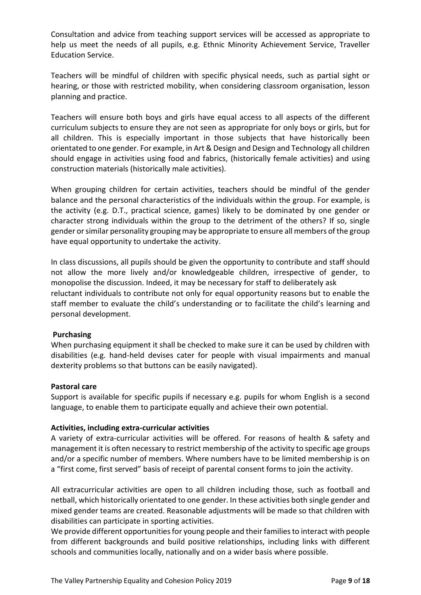Consultation and advice from teaching support services will be accessed as appropriate to help us meet the needs of all pupils, e.g. Ethnic Minority Achievement Service, Traveller Education Service.

Teachers will be mindful of children with specific physical needs, such as partial sight or hearing, or those with restricted mobility, when considering classroom organisation, lesson planning and practice.

Teachers will ensure both boys and girls have equal access to all aspects of the different curriculum subjects to ensure they are not seen as appropriate for only boys or girls, but for all children. This is especially important in those subjects that have historically been orientated to one gender. For example, in Art & Design and Design and Technology all children should engage in activities using food and fabrics, (historically female activities) and using construction materials (historically male activities).

When grouping children for certain activities, teachers should be mindful of the gender balance and the personal characteristics of the individuals within the group. For example, is the activity (e.g. D.T., practical science, games) likely to be dominated by one gender or character strong individuals within the group to the detriment of the others? If so, single gender or similar personality grouping may be appropriate to ensure all members of the group have equal opportunity to undertake the activity.

In class discussions, all pupils should be given the opportunity to contribute and staff should not allow the more lively and/or knowledgeable children, irrespective of gender, to monopolise the discussion. Indeed, it may be necessary for staff to deliberately ask reluctant individuals to contribute not only for equal opportunity reasons but to enable the staff member to evaluate the child's understanding or to facilitate the child's learning and personal development.

## **Purchasing**

When purchasing equipment it shall be checked to make sure it can be used by children with disabilities (e.g. hand-held devises cater for people with visual impairments and manual dexterity problems so that buttons can be easily navigated).

## **Pastoral care**

Support is available for specific pupils if necessary e.g. pupils for whom English is a second language, to enable them to participate equally and achieve their own potential.

# **Activities, including extra-curricular activities**

A variety of extra-curricular activities will be offered. For reasons of health & safety and management it is often necessary to restrict membership of the activity to specific age groups and/or a specific number of members. Where numbers have to be limited membership is on a "first come, first served" basis of receipt of parental consent forms to join the activity.

All extracurricular activities are open to all children including those, such as football and netball, which historically orientated to one gender. In these activities both single gender and mixed gender teams are created. Reasonable adjustments will be made so that children with disabilities can participate in sporting activities.

We provide different opportunities for young people and their families to interact with people from different backgrounds and build positive relationships, including links with different schools and communities locally, nationally and on a wider basis where possible.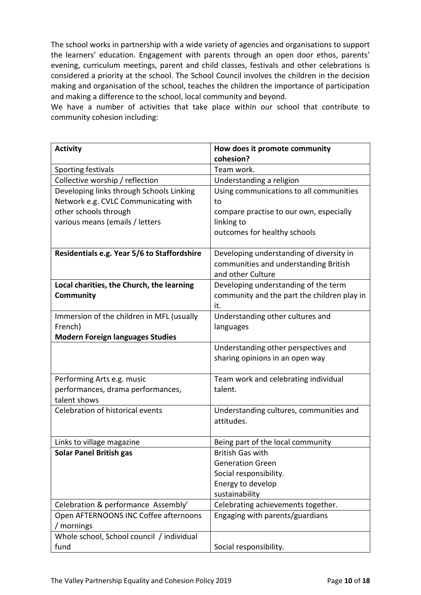The school works in partnership with a wide variety of agencies and organisations to support the learners' education. Engagement with parents through an open door ethos, parents' evening, curriculum meetings, parent and child classes, festivals and other celebrations is considered a priority at the school. The School Council involves the children in the decision making and organisation of the school, teaches the children the importance of participation and making a difference to the school, local community and beyond.

We have a number of activities that take place within our school that contribute to community cohesion including:

| <b>Activity</b>                             | How does it promote community                                |
|---------------------------------------------|--------------------------------------------------------------|
|                                             | cohesion?                                                    |
| Sporting festivals                          | Team work.                                                   |
| Collective worship / reflection             | Understanding a religion                                     |
| Developing links through Schools Linking    | Using communications to all communities                      |
| Network e.g. CVLC Communicating with        | to                                                           |
| other schools through                       | compare practise to our own, especially                      |
| various means (emails / letters             | linking to                                                   |
|                                             | outcomes for healthy schools                                 |
| Residentials e.g. Year 5/6 to Staffordshire | Developing understanding of diversity in                     |
|                                             | communities and understanding British                        |
|                                             | and other Culture                                            |
| Local charities, the Church, the learning   | Developing understanding of the term                         |
| <b>Community</b>                            | community and the part the children play in                  |
|                                             | it.                                                          |
| Immersion of the children in MFL (usually   | Understanding other cultures and                             |
| French)                                     | languages                                                    |
| <b>Modern Foreign languages Studies</b>     |                                                              |
|                                             | Understanding other perspectives and                         |
|                                             | sharing opinions in an open way                              |
|                                             |                                                              |
| Performing Arts e.g. music                  | Team work and celebrating individual                         |
| performances, drama performances,           | talent.                                                      |
| talent shows                                |                                                              |
| Celebration of historical events            | Understanding cultures, communities and                      |
|                                             | attitudes.                                                   |
|                                             |                                                              |
| Links to village magazine                   | Being part of the local community<br><b>British Gas with</b> |
| <b>Solar Panel British gas</b>              | <b>Generation Green</b>                                      |
|                                             |                                                              |
|                                             | Social responsibility.                                       |
|                                             | Energy to develop                                            |
|                                             | sustainability                                               |
| Celebration & performance Assembly'         | Celebrating achievements together.                           |
| Open AFTERNOONS INC Coffee afternoons       | Engaging with parents/guardians                              |
| / mornings                                  |                                                              |
| Whole school, School council / individual   |                                                              |
| fund                                        | Social responsibility.                                       |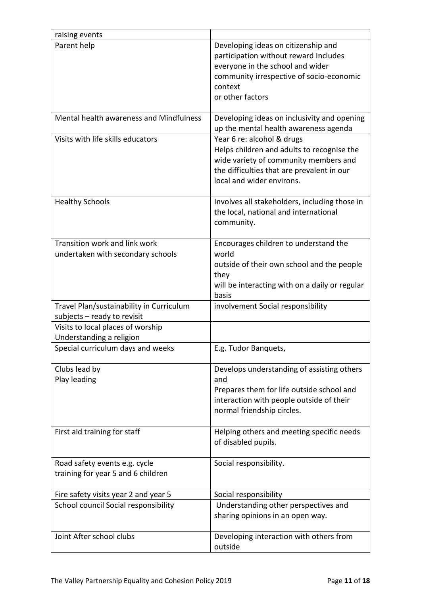| raising events                                                          |                                                                                                                                                                                              |
|-------------------------------------------------------------------------|----------------------------------------------------------------------------------------------------------------------------------------------------------------------------------------------|
| Parent help                                                             | Developing ideas on citizenship and<br>participation without reward Includes<br>everyone in the school and wider<br>community irrespective of socio-economic<br>context<br>or other factors  |
| Mental health awareness and Mindfulness                                 | Developing ideas on inclusivity and opening<br>up the mental health awareness agenda                                                                                                         |
| Visits with life skills educators                                       | Year 6 re: alcohol & drugs<br>Helps children and adults to recognise the<br>wide variety of community members and<br>the difficulties that are prevalent in our<br>local and wider environs. |
| <b>Healthy Schools</b>                                                  | Involves all stakeholders, including those in<br>the local, national and international<br>community.                                                                                         |
| Transition work and link work<br>undertaken with secondary schools      | Encourages children to understand the<br>world<br>outside of their own school and the people<br>they<br>will be interacting with on a daily or regular<br>basis                              |
| Travel Plan/sustainability in Curriculum<br>subjects - ready to revisit | involvement Social responsibility                                                                                                                                                            |
| Visits to local places of worship                                       |                                                                                                                                                                                              |
| Understanding a religion                                                |                                                                                                                                                                                              |
| Special curriculum days and weeks                                       | E.g. Tudor Banquets,                                                                                                                                                                         |
| Clubs lead by<br>Play leading                                           | Develops understanding of assisting others<br>and<br>Prepares them for life outside school and<br>interaction with people outside of their<br>normal friendship circles.                     |
| First aid training for staff                                            | Helping others and meeting specific needs<br>of disabled pupils.                                                                                                                             |
| Road safety events e.g. cycle<br>training for year 5 and 6 children     | Social responsibility.                                                                                                                                                                       |
| Fire safety visits year 2 and year 5                                    | Social responsibility                                                                                                                                                                        |
| School council Social responsibility                                    | Understanding other perspectives and<br>sharing opinions in an open way.                                                                                                                     |
| Joint After school clubs                                                | Developing interaction with others from<br>outside                                                                                                                                           |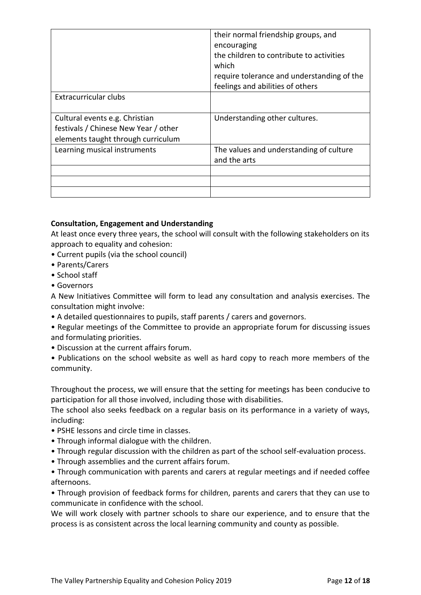|                                                                                                              | their normal friendship groups, and<br>encouraging<br>the children to contribute to activities<br>which<br>require tolerance and understanding of the<br>feelings and abilities of others |
|--------------------------------------------------------------------------------------------------------------|-------------------------------------------------------------------------------------------------------------------------------------------------------------------------------------------|
| Extracurricular clubs                                                                                        |                                                                                                                                                                                           |
| Cultural events e.g. Christian<br>festivals / Chinese New Year / other<br>elements taught through curriculum | Understanding other cultures.                                                                                                                                                             |
| Learning musical instruments                                                                                 | The values and understanding of culture<br>and the arts                                                                                                                                   |
|                                                                                                              |                                                                                                                                                                                           |
|                                                                                                              |                                                                                                                                                                                           |
|                                                                                                              |                                                                                                                                                                                           |

# **Consultation, Engagement and Understanding**

At least once every three years, the school will consult with the following stakeholders on its approach to equality and cohesion:

- Current pupils (via the school council)
- Parents/Carers
- School staff
- Governors

A New Initiatives Committee will form to lead any consultation and analysis exercises. The consultation might involve:

- A detailed questionnaires to pupils, staff parents / carers and governors.
- Regular meetings of the Committee to provide an appropriate forum for discussing issues and formulating priorities.
- Discussion at the current affairs forum.
- Publications on the school website as well as hard copy to reach more members of the community.

Throughout the process, we will ensure that the setting for meetings has been conducive to participation for all those involved, including those with disabilities.

The school also seeks feedback on a regular basis on its performance in a variety of ways, including:

- PSHE lessons and circle time in classes.
- Through informal dialogue with the children.
- Through regular discussion with the children as part of the school self-evaluation process.
- Through assemblies and the current affairs forum.

• Through communication with parents and carers at regular meetings and if needed coffee afternoons.

• Through provision of feedback forms for children, parents and carers that they can use to communicate in confidence with the school.

We will work closely with partner schools to share our experience, and to ensure that the process is as consistent across the local learning community and county as possible.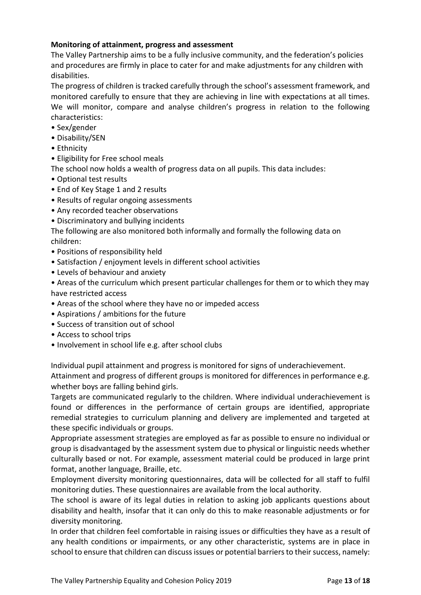# **Monitoring of attainment, progress and assessment**

The Valley Partnership aims to be a fully inclusive community, and the federation's policies and procedures are firmly in place to cater for and make adjustments for any children with disabilities.

The progress of children is tracked carefully through the school's assessment framework, and monitored carefully to ensure that they are achieving in line with expectations at all times. We will monitor, compare and analyse children's progress in relation to the following characteristics:

- Sex/gender
- Disability/SEN
- Ethnicity
- Eligibility for Free school meals

The school now holds a wealth of progress data on all pupils. This data includes:

- Optional test results
- End of Key Stage 1 and 2 results
- Results of regular ongoing assessments
- Any recorded teacher observations
- Discriminatory and bullying incidents

The following are also monitored both informally and formally the following data on children:

- Positions of responsibility held
- Satisfaction / enjoyment levels in different school activities
- Levels of behaviour and anxiety

• Areas of the curriculum which present particular challenges for them or to which they may have restricted access

- Areas of the school where they have no or impeded access
- Aspirations / ambitions for the future
- Success of transition out of school
- Access to school trips
- Involvement in school life e.g. after school clubs

Individual pupil attainment and progress is monitored for signs of underachievement.

Attainment and progress of different groups is monitored for differences in performance e.g. whether boys are falling behind girls.

Targets are communicated regularly to the children. Where individual underachievement is found or differences in the performance of certain groups are identified, appropriate remedial strategies to curriculum planning and delivery are implemented and targeted at these specific individuals or groups.

Appropriate assessment strategies are employed as far as possible to ensure no individual or group is disadvantaged by the assessment system due to physical or linguistic needs whether culturally based or not. For example, assessment material could be produced in large print format, another language, Braille, etc.

Employment diversity monitoring questionnaires, data will be collected for all staff to fulfil monitoring duties. These questionnaires are available from the local authority.

The school is aware of its legal duties in relation to asking job applicants questions about disability and health, insofar that it can only do this to make reasonable adjustments or for diversity monitoring.

In order that children feel comfortable in raising issues or difficulties they have as a result of any health conditions or impairments, or any other characteristic, systems are in place in school to ensure that children can discuss issues or potential barriers to their success, namely: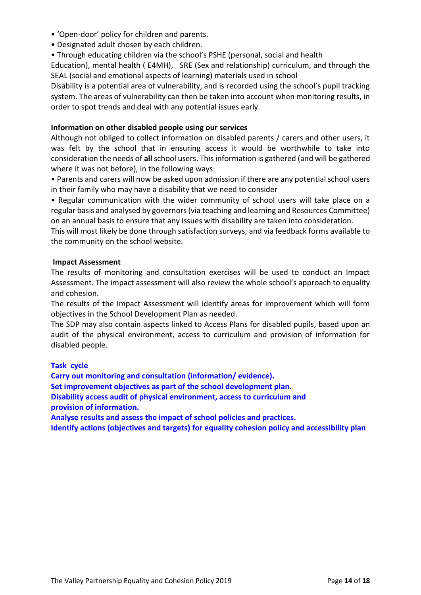- 'Open-door' policy for children and parents.
- Designated adult chosen by each children.
- Through educating children via the school's PSHE (personal, social and health

Education), mental health ( E4MH), SRE (Sex and relationship) curriculum, and through the SEAL (social and emotional aspects of learning) materials used in school

Disability is a potential area of vulnerability, and is recorded using the school's pupil tracking system. The areas of vulnerability can then be taken into account when monitoring results, in order to spot trends and deal with any potential issues early.

## **Information on other disabled people using our services**

Although not obliged to collect information on disabled parents / carers and other users, it was felt by the school that in ensuring access it would be worthwhile to take into consideration the needs of **all** school users. This information is gathered (and will be gathered where it was not before), in the following ways:

• Parents and carers will now be asked upon admission if there are any potential school users in their family who may have a disability that we need to consider

• Regular communication with the wider community of school users will take place on a regular basis and analysed by governors (via teaching and learning and Resources Committee) on an annual basis to ensure that any issues with disability are taken into consideration.

This will most likely be done through satisfaction surveys, and via feedback forms available to the community on the school website.

## **Impact Assessment**

The results of monitoring and consultation exercises will be used to conduct an Impact Assessment. The impact assessment will also review the whole school's approach to equality and cohesion.

The results of the Impact Assessment will identify areas for improvement which will form objectives in the School Development Plan as needed.

The SDP may also contain aspects linked to Access Plans for disabled pupils, based upon an audit of the physical environment, access to curriculum and provision of information for disabled people.

## **Task cycle**

**Carry out monitoring and consultation (information/ evidence). Set improvement objectives as part of the school development plan. Disability access audit of physical environment, access to curriculum and provision of information. Analyse results and assess the impact of school policies and practices.**

**Identify actions (objectives and targets) for equality cohesion policy and accessibility plan**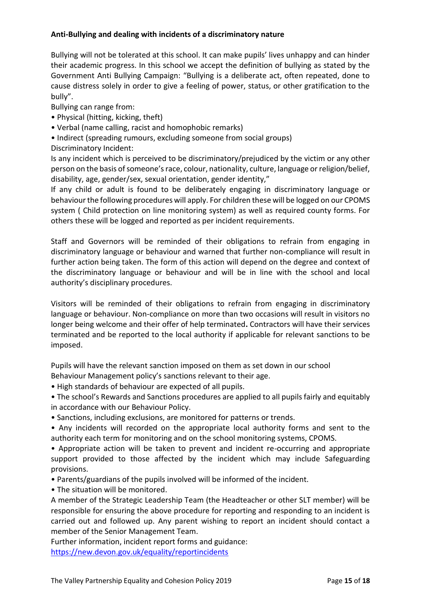# **Anti-Bullying and dealing with incidents of a discriminatory nature**

Bullying will not be tolerated at this school. It can make pupils' lives unhappy and can hinder their academic progress. In this school we accept the definition of bullying as stated by the Government Anti Bullying Campaign: "Bullying is a deliberate act, often repeated, done to cause distress solely in order to give a feeling of power, status, or other gratification to the bully".

Bullying can range from:

- Physical (hitting, kicking, theft)
- Verbal (name calling, racist and homophobic remarks)
- Indirect (spreading rumours, excluding someone from social groups)
- Discriminatory Incident:

Is any incident which is perceived to be discriminatory/prejudiced by the victim or any other person on the basis of someone's race, colour, nationality, culture, language or religion/belief, disability, age, gender/sex, sexual orientation, gender identity,"

If any child or adult is found to be deliberately engaging in discriminatory language or behaviour the following procedures will apply. For children these will be logged on our CPOMS system ( Child protection on line monitoring system) as well as required county forms. For others these will be logged and reported as per incident requirements.

Staff and Governors will be reminded of their obligations to refrain from engaging in discriminatory language or behaviour and warned that further non-compliance will result in further action being taken. The form of this action will depend on the degree and context of the discriminatory language or behaviour and will be in line with the school and local authority's disciplinary procedures.

Visitors will be reminded of their obligations to refrain from engaging in discriminatory language or behaviour. Non-compliance on more than two occasions will result in visitors no longer being welcome and their offer of help terminated**.** Contractors will have their services terminated and be reported to the local authority if applicable for relevant sanctions to be imposed.

Pupils will have the relevant sanction imposed on them as set down in our school Behaviour Management policy's sanctions relevant to their age.

• High standards of behaviour are expected of all pupils.

• The school's Rewards and Sanctions procedures are applied to all pupils fairly and equitably in accordance with our Behaviour Policy.

• Sanctions, including exclusions, are monitored for patterns or trends.

• Any incidents will recorded on the appropriate local authority forms and sent to the authority each term for monitoring and on the school monitoring systems, CPOMS.

• Appropriate action will be taken to prevent and incident re-occurring and appropriate support provided to those affected by the incident which may include Safeguarding provisions.

• Parents/guardians of the pupils involved will be informed of the incident.

• The situation will be monitored.

A member of the Strategic Leadership Team (the Headteacher or other SLT member) will be responsible for ensuring the above procedure for reporting and responding to an incident is carried out and followed up. Any parent wishing to report an incident should contact a member of the Senior Management Team.

Further information, incident report forms and guidance: <https://new.devon.gov.uk/equality/reportincidents>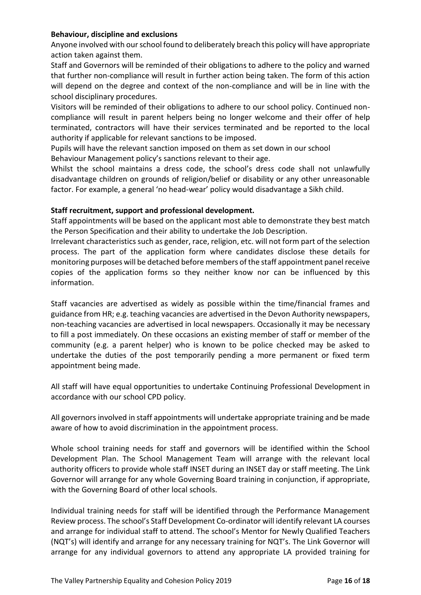# **Behaviour, discipline and exclusions**

Anyone involved with our school found to deliberately breach this policy will have appropriate action taken against them.

Staff and Governors will be reminded of their obligations to adhere to the policy and warned that further non-compliance will result in further action being taken. The form of this action will depend on the degree and context of the non-compliance and will be in line with the school disciplinary procedures.

Visitors will be reminded of their obligations to adhere to our school policy. Continued noncompliance will result in parent helpers being no longer welcome and their offer of help terminated, contractors will have their services terminated and be reported to the local authority if applicable for relevant sanctions to be imposed.

Pupils will have the relevant sanction imposed on them as set down in our school Behaviour Management policy's sanctions relevant to their age.

Whilst the school maintains a dress code, the school's dress code shall not unlawfully disadvantage children on grounds of religion/belief or disability or any other unreasonable factor. For example, a general 'no head-wear' policy would disadvantage a Sikh child.

# **Staff recruitment, support and professional development.**

Staff appointments will be based on the applicant most able to demonstrate they best match the Person Specification and their ability to undertake the Job Description.

Irrelevant characteristics such as gender, race, religion, etc. will not form part of the selection process. The part of the application form where candidates disclose these details for monitoring purposes will be detached before members of the staff appointment panel receive copies of the application forms so they neither know nor can be influenced by this information.

Staff vacancies are advertised as widely as possible within the time/financial frames and guidance from HR; e.g. teaching vacancies are advertised in the Devon Authority newspapers, non-teaching vacancies are advertised in local newspapers. Occasionally it may be necessary to fill a post immediately. On these occasions an existing member of staff or member of the community (e.g. a parent helper) who is known to be police checked may be asked to undertake the duties of the post temporarily pending a more permanent or fixed term appointment being made.

All staff will have equal opportunities to undertake Continuing Professional Development in accordance with our school CPD policy.

All governors involved in staff appointments will undertake appropriate training and be made aware of how to avoid discrimination in the appointment process.

Whole school training needs for staff and governors will be identified within the School Development Plan. The School Management Team will arrange with the relevant local authority officers to provide whole staff INSET during an INSET day or staff meeting. The Link Governor will arrange for any whole Governing Board training in conjunction, if appropriate, with the Governing Board of other local schools.

Individual training needs for staff will be identified through the Performance Management Review process. The school's Staff Development Co-ordinator will identify relevant LA courses and arrange for individual staff to attend. The school's Mentor for Newly Qualified Teachers (NQT's) will identify and arrange for any necessary training for NQT's. The Link Governor will arrange for any individual governors to attend any appropriate LA provided training for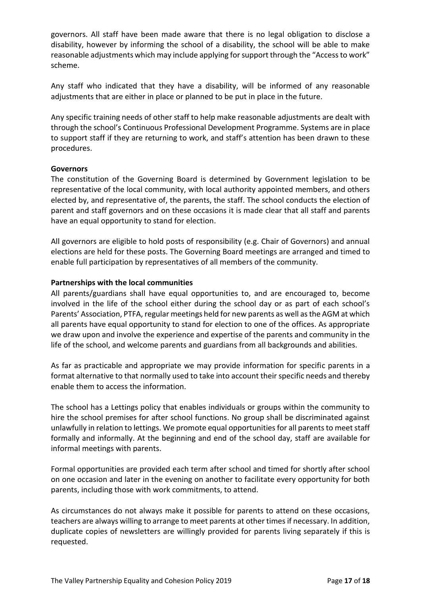governors. All staff have been made aware that there is no legal obligation to disclose a disability, however by informing the school of a disability, the school will be able to make reasonable adjustments which may include applying for support through the "Access to work" scheme.

Any staff who indicated that they have a disability, will be informed of any reasonable adjustments that are either in place or planned to be put in place in the future.

Any specific training needs of other staff to help make reasonable adjustments are dealt with through the school's Continuous Professional Development Programme. Systems are in place to support staff if they are returning to work, and staff's attention has been drawn to these procedures.

## **Governors**

The constitution of the Governing Board is determined by Government legislation to be representative of the local community, with local authority appointed members, and others elected by, and representative of, the parents, the staff. The school conducts the election of parent and staff governors and on these occasions it is made clear that all staff and parents have an equal opportunity to stand for election.

All governors are eligible to hold posts of responsibility (e.g. Chair of Governors) and annual elections are held for these posts. The Governing Board meetings are arranged and timed to enable full participation by representatives of all members of the community.

# **Partnerships with the local communities**

All parents/guardians shall have equal opportunities to, and are encouraged to, become involved in the life of the school either during the school day or as part of each school's Parents' Association, PTFA, regular meetings held for new parents as well as the AGM at which all parents have equal opportunity to stand for election to one of the offices. As appropriate we draw upon and involve the experience and expertise of the parents and community in the life of the school, and welcome parents and guardians from all backgrounds and abilities.

As far as practicable and appropriate we may provide information for specific parents in a format alternative to that normally used to take into account their specific needs and thereby enable them to access the information.

The school has a Lettings policy that enables individuals or groups within the community to hire the school premises for after school functions. No group shall be discriminated against unlawfully in relation to lettings. We promote equal opportunities for all parents to meet staff formally and informally. At the beginning and end of the school day, staff are available for informal meetings with parents.

Formal opportunities are provided each term after school and timed for shortly after school on one occasion and later in the evening on another to facilitate every opportunity for both parents, including those with work commitments, to attend.

As circumstances do not always make it possible for parents to attend on these occasions, teachers are always willing to arrange to meet parents at other times if necessary. In addition, duplicate copies of newsletters are willingly provided for parents living separately if this is requested.